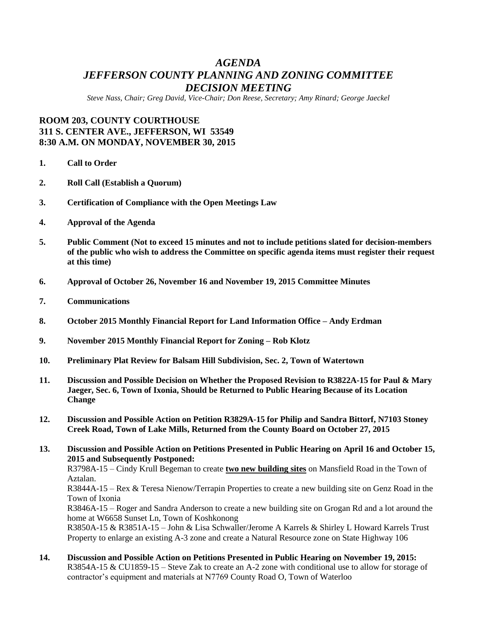# *AGENDA JEFFERSON COUNTY PLANNING AND ZONING COMMITTEE DECISION MEETING*

*Steve Nass, Chair; Greg David, Vice-Chair; Don Reese, Secretary; Amy Rinard; George Jaeckel*

# **ROOM 203, COUNTY COURTHOUSE 311 S. CENTER AVE., JEFFERSON, WI 53549 8:30 A.M. ON MONDAY, NOVEMBER 30, 2015**

- **1. Call to Order**
- **2. Roll Call (Establish a Quorum)**
- **3. Certification of Compliance with the Open Meetings Law**
- **4. Approval of the Agenda**
- **5. Public Comment (Not to exceed 15 minutes and not to include petitions slated for decision-members of the public who wish to address the Committee on specific agenda items must register their request at this time)**
- **6. Approval of October 26, November 16 and November 19, 2015 Committee Minutes**
- **7. Communications**
- **8. October 2015 Monthly Financial Report for Land Information Office – Andy Erdman**
- **9. November 2015 Monthly Financial Report for Zoning – Rob Klotz**
- **10. Preliminary Plat Review for Balsam Hill Subdivision, Sec. 2, Town of Watertown**
- **11. Discussion and Possible Decision on Whether the Proposed Revision to R3822A-15 for Paul & Mary Jaeger, Sec. 6, Town of Ixonia, Should be Returned to Public Hearing Because of its Location Change**
- **12. Discussion and Possible Action on Petition R3829A-15 for Philip and Sandra Bittorf, N7103 Stoney Creek Road, Town of Lake Mills, Returned from the County Board on October 27, 2015**

**13. Discussion and Possible Action on Petitions Presented in Public Hearing on April 16 and October 15, 2015 and Subsequently Postponed:** R3798A-15 – Cindy Krull Begeman to create **two new building sites** on Mansfield Road in the Town of Aztalan.

R3844A-15 – Rex & Teresa Nienow/Terrapin Properties to create a new building site on Genz Road in the Town of Ixonia

R3846A-15 – Roger and Sandra Anderson to create a new building site on Grogan Rd and a lot around the home at W6658 Sunset Ln, Town of Koshkonong

R3850A-15 & R3851A-15 – John & Lisa Schwaller/Jerome A Karrels & Shirley L Howard Karrels Trust Property to enlarge an existing A-3 zone and create a Natural Resource zone on State Highway 106

**14. Discussion and Possible Action on Petitions Presented in Public Hearing on November 19, 2015:** R3854A-15 & CU1859-15 – Steve Zak to create an A-2 zone with conditional use to allow for storage of contractor's equipment and materials at N7769 County Road O, Town of Waterloo